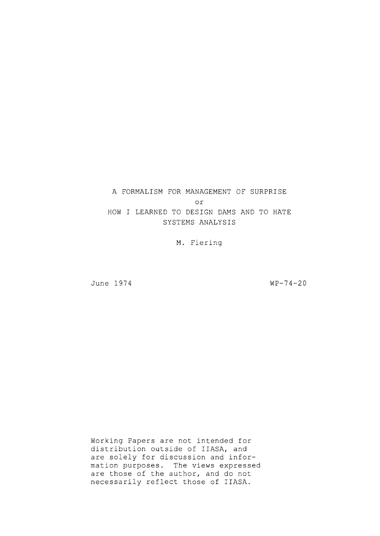## A FORMALISM FOR MANAGEMENT OF SURPRISE or HOW I LEARNED TO DESIGN DAMS AND TO HATE SYSTEMS ANALYSIS

**M.** Fiering

June 1974

WP-74-20

Working Papers are not intended for distribution outside of IIASA, and are solely for discussion and information purposes. The views expressed are those of the author, and do not necessarily reflect those of IIASA.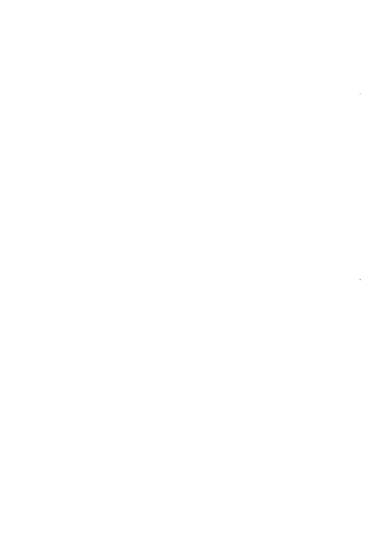$\epsilon$  $\star$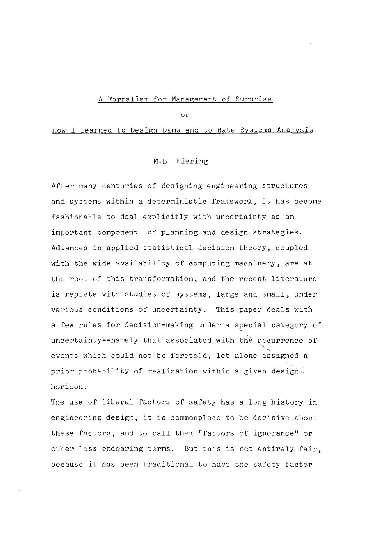#### A Formalism for Management of Surprise

or

How I learned to Design Dams and to Hate Systems Analysis

### M.B Fiering

After many centuries of designing engineering structures and systems within <sup>a</sup> deterministic framework, it has become fashionable to deal explicitly with uncertainty as an important component of planning and design strategies. Advances in applied statistical decision theory, coupled with the wide availability of computing machinery, are at the root of this transformation, and the recent literature is replete with studies of systems, large and small, under various conditions of uncertainty. This paper deals with a few rules for decision-making under a special category of uncertainty--namely that associated with the occurrence of events which could not be foretold, let alone assigned <sup>a</sup> prior probability of realization within a given design horizon.

The use of liberal factors of safety has <sup>a</sup> long history in engineering design; it is commonplace to be derisive about these factors, and to call them "factors of ignorance" or other less endearing terms. But this is not entirely fair, because it has been traditional to have the safety factor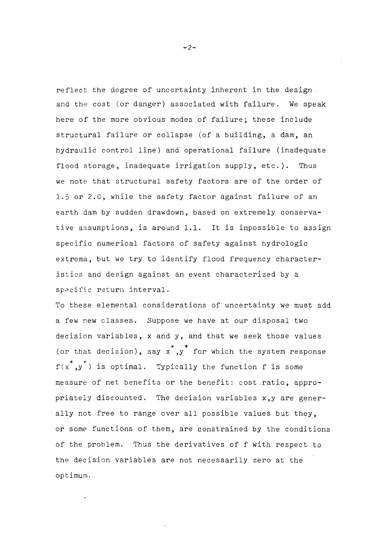reflect the degree of uncertainty inherent in the design. and *the* cost (or danger) associated with failure. We speak here of the more obvious modes of failure; these include structural failure or collapse (of <sup>a</sup> building, <sup>a</sup> dam, an hydraulic control line) and operational failure (inadequate flood storage, inadequate irrigation supply, etc.). Thus we note that structural safety factors are of the order of 1.5 or 2.0, while the safety factor against failure of an earth dam by sudden drawdown, based on extremely conservative assumptions, is around 1.1. It is impossible to assign specific numerical factors of safety against hydrologic extrema, but we try to identify flood frequency characteristics and design against an event characterized by <sup>a</sup> specific return interval.

To these elemental considerations of uncertainty we must add a few new classes. Suppose we have at our disposal two decision variables, x and y, and that we seek those values (or that decision), say  $x^*$ ,  $y^*$  for which the system response  $f(x^*, y^*)$  is optimal. Typically the function f is some measure of net benefits or the benefit: cost ratio, appropriately discounted. The decision variables x,y are generally not free to range over all possible values but they, or *some* functions of them, are constrained by the conditions of the problem. Thus the derivatives of f with respect to the decision variables are not necessarily zero at the optimum.

 $-2-$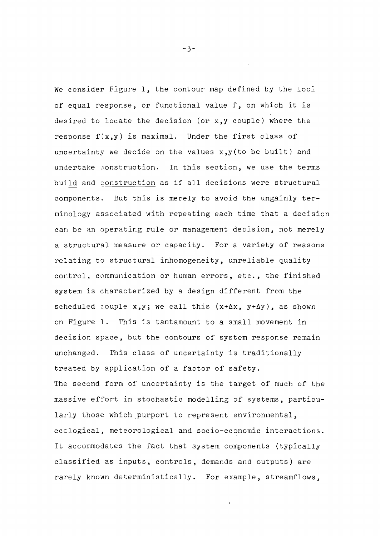We consider Figure 1, the contour map defined by the loci of equal response, or functional value f, on which it is desired to locate the decision (or x,y couple) where the response  $f(x,y)$  is maximal. Under the first class of uncertainty we decide on the values  $x,y$  (to be built) and undertake construction. In this section, we use the terms build and construction as if all decisions were structural components. But this is merely to avoid the ungainly terminology associated with repeating each time that a decision can be an operating rule or management decision, not merely <sup>a</sup> structural measure or capacity. For <sup>a</sup> variety of reasons relating to structural inhomogeneity, unreliable quality control, communication or human errors, etc., the finished system is characterized by <sup>a</sup> design different from the scheduled couple  $x, y$ ; we call this  $(x+\Delta x, y+\Delta y)$ , as shown on Figure **1.** This is tantamount to <sup>a</sup> small movement in decision space, but the contours of system response remain unchanged. This class of uncertainty is traditionally treated by application of a factor of safety. The second form of uncertainty is the target of much of the massive effort in stochastic modelling of systems, particularly those which purport to represent environmental, ecological, meteorological and socio-economic interactions. It accommodates the fact that system components (typically classified as inputs, controls, demands and outputs) are rarely known deterministicallY. For example, streamflows,

**-3-**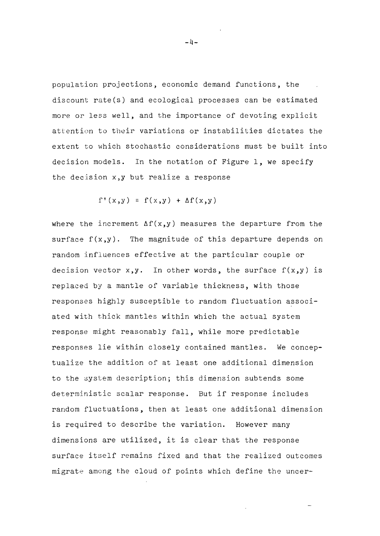population projections, economic demand functions, the discount rate(s) and ecological processes can be estimated more or less well, and the importance of devoting explicit attention to their variations or instabilities dictates the extent to which stochastic considerations must be built into decision models. In the notation of Figure 1, we specify the decision x,y but realize a response

$$
f'(x,y) = f(x,y) + \Delta f(x,y)
$$

where the increment  $\Delta f(x,y)$  measures the departure from the surface  $f(x,y)$ . The magnitude of this departure depends on random influences effective at the particular couple or decision vector  $x, y$ . In other words, the surface  $f(x, y)$  is replaced by a mantle of variable thickness, with those responses highly susceptible to random fluctuation associated with thick mantles within which the actual system response might reasonably fall, while more predictable responses lie within closely contained mantles. We conceptualize the addition of at least one additional dimension to the system description; this dimension subtends some deterministic scalar response. But if response includes random fluctuations, then at least one additional dimension is required to describe the variation. However many dimensions are utilized, it is clear that the response surface itself remains fixed and that the realized outcomes migrate among the cloud of points which define the uncer-

-4-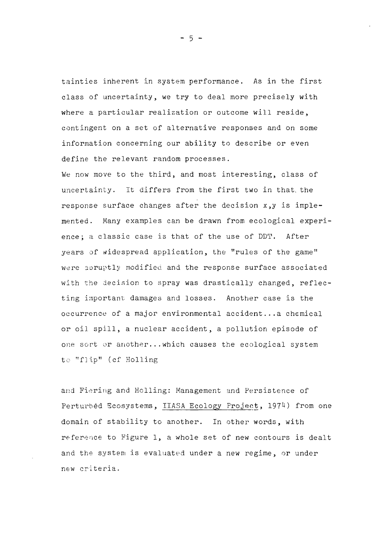tainties inherent in system performance. As in the first class of uncertainty, we try to deal more precisely with where a particular realization or outcome will reside. contingent on a set of alternative responses and on some information concerning our ability to describe or even define the relevant random processes.

We now move to the third, and most interesting, class of uncertainty. It differs from the first two in that, the response surface changes after the decision x,y is implemented. Many examples can be drawn from ecological experience; <sup>a</sup> classic case is that of the use of DDT. After years of widespread application, the "rules of the game" were apruptly modified and the response surface associated with the decision to spray was drastically changed, reflecting important damages and losses. Another case is the occurrence of a major environmental accident...a chemical or oil spill, <sup>a</sup> nuclear accident, <sup>a</sup> pollution episode of one sort or another... which causes the ecological system to "flip" (cf Holling

and Fiering and Holling: Management and Persistence of Perturbed Ecosystems, IIASA Ecology Project, 1974) from one domain of stability to another. In other words, with reference to Figure 1, a whole set of new contours is dealt and the system is evaluated under a new regime, or under new criteria.

 $-5 -$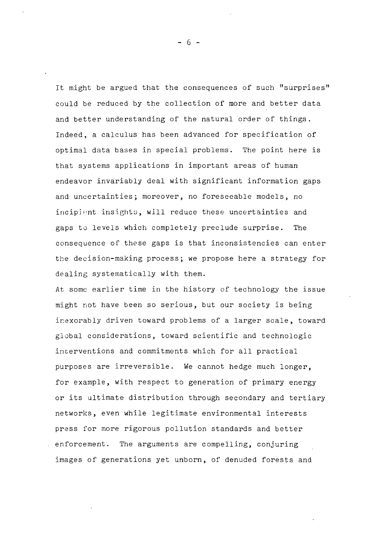It might be argued that the consequences of such "surprises" could be reduced by the collection of more and better data and better understanding of the natural order of things. Indeed, a calculus has been advanced for specification of optimal data bases in special problems. The point here is that systems applications in important areas of human endeavor invariably deal with significant information gaps and uncertainties; moreover, no foreseeable models, no incipient insights, will reduce these uncertainties and gaps to levels which completely preclude surprise. The consequence of these gaps is that inconsistencies can enter the decision-making process; we propose here a strategy for dealing systematically with them.

At some earlier time in the history of technology the issue might not have been so serious, but our society is being inexorably driven toward problems of a larger scale, toward global considerations, toward scientific and technologic interventions and commitments which for all practical purposes are irreversible. We cannot hedge much longer, for example, with respect to generation of primary energy or its ultimate distribution through secondary and tertiary networks, even while legitimate environmental interests press for more rigorous pollution standards and better enforcement. The arguments are compelling, conjuring images of generations yet unborn, of denuded forests and

- 6 -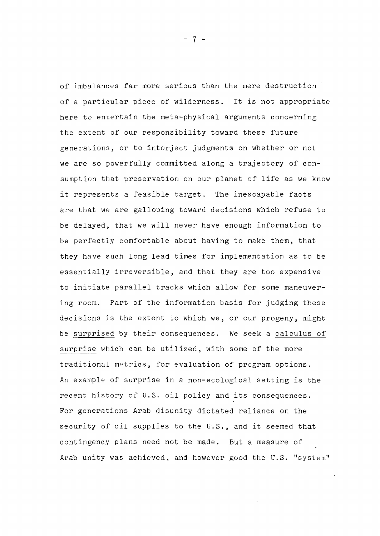of imbalances far more serious than the mere destruction of <sup>a</sup> particular piece of wilderness. It is not appropriate here to entertain the meta-physical arguments concerning the extent of our responsibility toward these future generations, or to interject jUdgments on whether or not we are so powerfully committed along a trajectory of consumption that preservation on our planet of life as we know it represents <sup>a</sup> feasible target. The inescapable facts are that we are galloping toward decisions which refuse to be delayed, that we will never have enough information to be perfectly comfortable about having to make them, that they have such long lead times for implementation as to be essentially irreversible, and that they are too expensive to initiate parallel tracks which allow for some maneuvering room. Part of the information basis for judging these decisions is the extent to which we, or our progeny, might be surprised by their consequences. We seek <sup>a</sup> calculus of surprise which can be utilized, with some of the more traditional mptrics, for evaluation of program options. An example of surprise in <sup>a</sup> non-ecological setting is the recent history of U.S. oil policy and its consequences. For generations Arab disunity dictated reliance on the security of oil supplies to the U.S., and it seemed that contingency plans need not be made. But a measure of Arab unity was achieved, and however good the U.S. "system"

- 7 -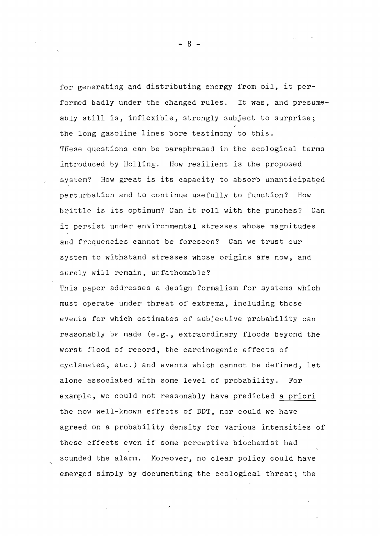for generating and distributing energy from oil, it performed badly under the changed rules. It was, and presumeably still is, inflexible, strongly subject to surprise; the long gasoline lines bore testimony to this. These questions can be paraphrased in the ecological terms introduced by Holling. How resilient is the proposed system? How great is its capacity to absorb unanticipated perturbation and to continue usefully to function? How brittle is its optimum? Can it roll with the punches? Can it persist under environmental stresses whose magnitudes and frequencies cannot be foreseen? Can we trust our system to withstand stresses whose origins are now, and surely will remain, unfathomable?

This paper addresses a design formalism for systems which must operate under threat of extrema, including those events for which estimates of sUbjective probability can reasonably be made  $(e.g.,$  extraordinary floods beyond the worst flood of record, the carcinogenic effects of cyclamates, etc.) and events which cannot be defined, let alone associated with some level of probability. For example, we could not reasonably have predicted <sup>a</sup> priori the now well-known effects of DDT, nor could we have agreed on <sup>a</sup> probability density for various intensities of these effects even if some perceptive biochemist had sounded the alarm. Moreover, no clear policy could have emerged simply by documenting the ecological threat; the

- 8 -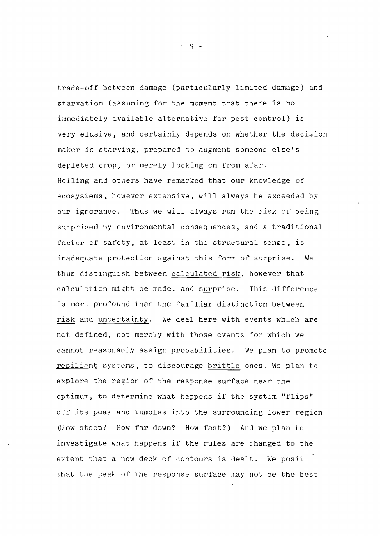trade-off between damage (particularly limited damage) and starvation (assuming for the moment that there is no immediately available alternative for pest control) is very elusive, and certainly depends on whether the decisionmaker is starving, prepared to augment someone else's depleted crop, or merely looking on from afar. Holling and others have remarked that our knowledge of ecosystems, however extensive, will always be exceeded by our ignorance. Thus we will always run the risk of being surprised by environmental consequences, and a traditional factor of safety, at least in the structural sense, is inadequate protection against this form of surprise. We thus distinguish between calculated risk, however that calculation might be made, and surprise. This difference is more profound than the familiar distinction between risk and uncertainty. We deal here with events which are not defined, not merely with those events for which we cannot reasonably assign probabilities. We plan to promote resilient systems, to discourage brittle ones. We plan to explore the region of the response surface near the optimum, to determine what happens if the system "flips" off its peak and tumbles into the surrounding lower region (How steep? How far down? How fast?) And we plan to investigate what happens if the rules are changed to the extent that <sup>a</sup> new deck of contours is dealt. We posit that the peak of the response surface may not be the best

- 9 -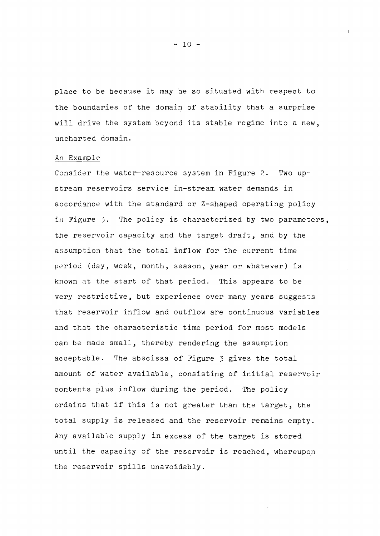place to be because it may be so situated with respect to the boundaries of the domain of stability that <sup>a</sup> surprise will drive the system beyond its stable regime into <sup>a</sup> new, uncharted domain.

#### An Example

Consider the water-resource system in Figure 2. Two upstream reservoirs service in-stream water demands in accordance with the standard or Z-shaped operating policy in Figure 3. The policy is characterized by two parameters, the reservoir capacity and the target draft, and by the assumption that the total inflow for the current time period (day, week, month, season, year or whatever) is known at the start of that period. This appears to be very restrictive, but experience over many years suggests that reservoir inflow and outflow are continuous variables and that the characteristic time period for most models can be made small, thereby rendering the assumption acceptable. The abscissa of Figure 3 gives the total amount of water available, consisting of initial reservoir contents plus inflow during the period. The policy ordains that if this is not greater than the target, the total supply is released and the reservoir remains empty. Any available supply in excess of the target is stored until the capacity of the reservoir is reached, whereupon the reservoir spills unavoidably.

- 10 -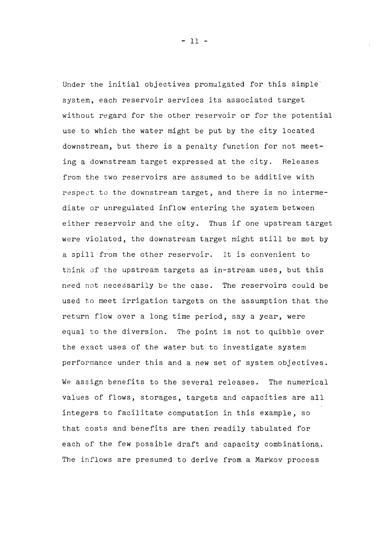Under the initial objectives promulgated for this simple" system, each reservoir services its associated target without regard for the other reservoir or for the potential use to which the water might be put by the city located downstream, but there is <sup>a</sup> penalty function for not meeting <sup>a</sup> downstream target expressed at the city. Releases from the two reservoirs are assumed to be additive with respect to the downstream target, and there is no intermediate or unregulated inflow entering the system between either reservoir and the city. Thus if one upstream target were violated, the downstream target might still be met by <sup>a</sup> spill from the other reservoir. It is convenient to think of the upstream targets as in-stream uses, but this need not necessarily be the case. The reservoirs could be used to meet irrigation targets on the assumption that the return flow over a long time period, say a year, were equal to the diversion. The point is not to quibble over the exact uses of the water but to investigate system performance under this and <sup>a</sup> new set of system objectives. We assign benefits to the several releases. The numerical values of flows, storages, targets and capacities are all integers to facilitate computation in this example, so that costs and benefits are then readily tabulated for each of the few possible draft and capacity combinations. The inflows are presumed to derive from a Markov process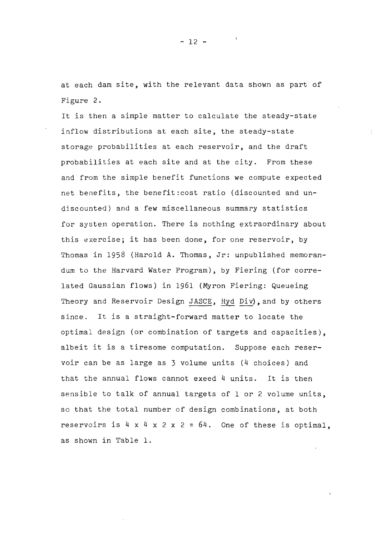at each dam site, with the relevant data shown as part of Figure 2.

It is then <sup>a</sup> simple matter to calculate the steady-state inflow distributions at each site, the steady-state storage probabilities at each reservoir, and the draft probabilities at each site and at the city. From these and from the simple benefit functions we compute expected net benefits, the benefit:cost ratio (discounted and undiscounted) and <sup>a</sup> few miscellaneous summary statistics for system operation. There is nothing extraordinary about this exercise; it has been done, for one reservoir, by Thomas in 1958 (Harold A. Thomas, Jr: unpublished memorandum to the Harvard Water Program), by Fiering (for correlated Gaussian flows) in 1961 (Myron Fiering: Queueing Theory and Reservoir Design JASCE, Hyd Div), and by others since. It is <sup>a</sup> straight-forward matter to locate the optimal design (or combination of targets and capacities), albeit it is <sup>a</sup> tiresome computation. Suppose each reservoir can be as large as 3 volume units (4 choices) and that the annual flows cannot exeed 4 units. It is then sensible to talk of annual targets of <sup>1</sup> or <sup>2</sup> volume units, so that the total number of design combinations, at both reservoirs is  $4 \times 4 \times 2 \times 2 = 64$ . One of these is optimal, as shown in Table 1.

 $- 12 -$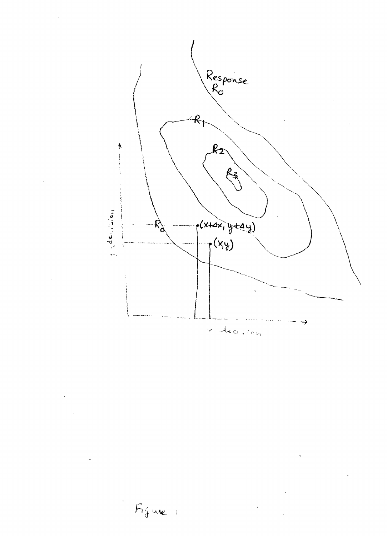

Ague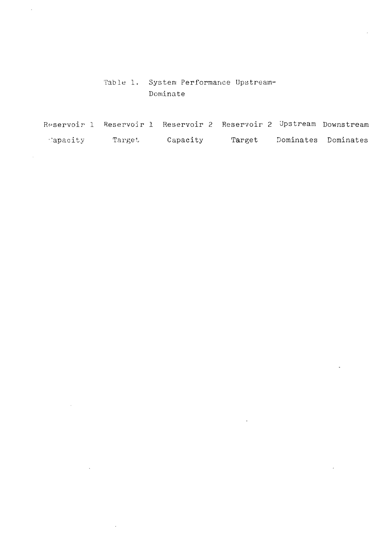# Table 1. System Performance Upstream-Dominate

 $\ddot{\phantom{0}}$ 

 $\bar{z}$ 

 $\bar{\mathcal{A}}$ 

 $\ddot{\phantom{a}}$ 

 $\hat{\boldsymbol{\cdot}$ 

|          |        | Reservoir 1 Reservoir 1 Reservoir 2 Reservoir 2 Upstream Downstream |        |                     |
|----------|--------|---------------------------------------------------------------------|--------|---------------------|
| Capacity | Target | Capacity                                                            | Target | Dominates Dominates |

 $\ddot{\phantom{0}}$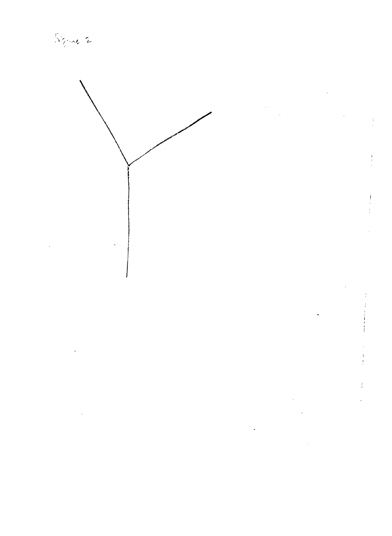